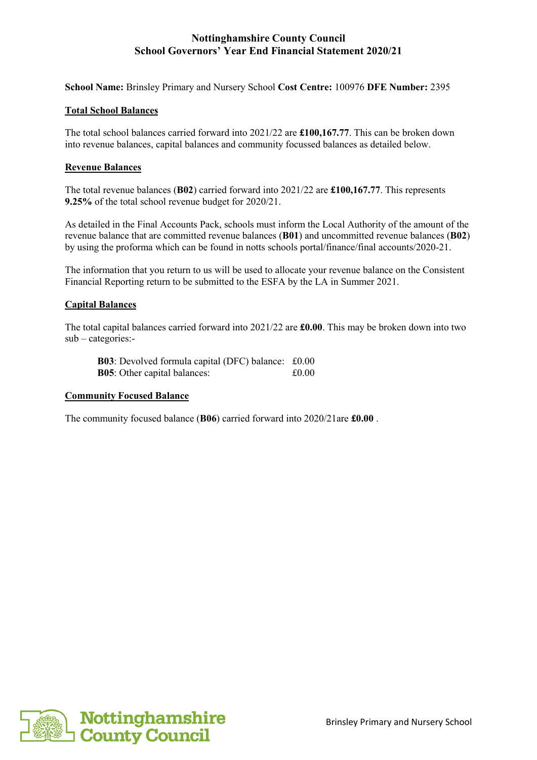## **Nottinghamshire County Council School Governors' Year End Financial Statement 2020/21**

**School Name:** Brinsley Primary and Nursery School **Cost Centre:** 100976 **DFE Number:** 2395

### **Total School Balances**

The total school balances carried forward into 2021/22 are **£100,167.77**. This can be broken down into revenue balances, capital balances and community focussed balances as detailed below.

### **Revenue Balances**

The total revenue balances (**B02**) carried forward into 2021/22 are **£100,167.77**. This represents **9.25%** of the total school revenue budget for 2020/21.

As detailed in the Final Accounts Pack, schools must inform the Local Authority of the amount of the revenue balance that are committed revenue balances (**B01**) and uncommitted revenue balances (**B02**) by using the proforma which can be found in notts schools portal/finance/final accounts/2020-21.

The information that you return to us will be used to allocate your revenue balance on the Consistent Financial Reporting return to be submitted to the ESFA by the LA in Summer 2021.

### **Capital Balances**

The total capital balances carried forward into 2021/22 are **£0.00**. This may be broken down into two sub – categories:-

**B03**: Devolved formula capital (DFC) balance: £0.00 **B05**: Other capital balances:  $\text{\pounds}0.00$ 

#### **Community Focused Balance**

The community focused balance (**B06**) carried forward into 2020/21are **£0.00** .

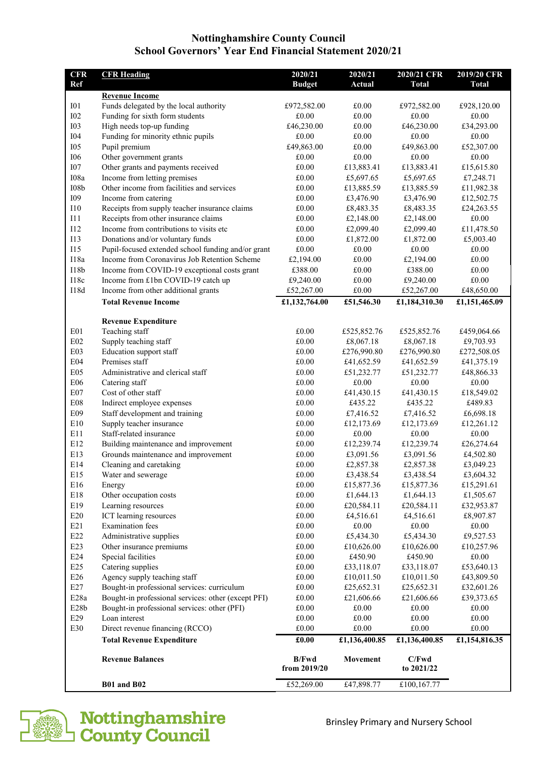## **Nottinghamshire County Council School Governors' Year End Financial Statement 2020/21**

| <b>CFR</b>        | <b>CFR Heading</b>                                                                     | 2020/21                        | 2020/21            | 2020/21 CFR             | 2019/20 CFR        |
|-------------------|----------------------------------------------------------------------------------------|--------------------------------|--------------------|-------------------------|--------------------|
| <b>Ref</b>        |                                                                                        | <b>Budget</b>                  | Actual             | <b>Total</b>            | <b>Total</b>       |
|                   | <b>Revenue Income</b>                                                                  |                                |                    |                         |                    |
| I <sub>01</sub>   | Funds delegated by the local authority                                                 | £972,582.00                    | £0.00              | £972,582.00             | £928,120.00        |
| I <sub>02</sub>   | Funding for sixth form students                                                        | £0.00                          | £0.00              | £0.00                   | £0.00              |
| <b>I03</b>        | High needs top-up funding                                                              | £46,230.00                     | £0.00              | £46,230.00              | £34,293.00         |
| <b>I04</b>        | Funding for minority ethnic pupils                                                     | £0.00                          | £0.00              | £0.00                   | £0.00              |
| <b>I05</b>        | Pupil premium                                                                          | £49,863.00                     | £0.00              | £49,863.00              | £52,307.00         |
| <b>I06</b>        | Other government grants                                                                | £0.00                          | £0.00              | £0.00                   | £0.00              |
| <b>I07</b>        | Other grants and payments received                                                     | £0.00                          | £13,883.41         | £13,883.41              | £15,615.80         |
| I08a              | Income from letting premises                                                           | $\pounds0.00$                  | £5,697.65          | £5,697.65               | £7,248.71          |
| $108\mathrm{b}$   | Other income from facilities and services                                              | £0.00                          | £13,885.59         | £13,885.59              | £11,982.38         |
| I09               | Income from catering                                                                   | £0.00                          | £3,476.90          | £3,476.90               | £12,502.75         |
| 110               | Receipts from supply teacher insurance claims                                          | £0.00                          | £8,483.35          | £8,483.35               | £24,263.55         |
| 111<br>I12        | Receipts from other insurance claims<br>Income from contributions to visits etc        | £0.00                          | £2,148.00          | £2,148.00               | £0.00              |
| I13               |                                                                                        | £0.00<br>£0.00                 | £2,099.40          | £2,099.40               | £11,478.50         |
| <b>I15</b>        | Donations and/or voluntary funds<br>Pupil-focused extended school funding and/or grant | £0.00                          | £1,872.00<br>£0.00 | £1,872.00<br>£0.00      | £5,003.40<br>£0.00 |
| I18a              | Income from Coronavirus Job Retention Scheme                                           | £2,194.00                      | £0.00              | £2,194.00               | £0.00              |
| I18b              | Income from COVID-19 exceptional costs grant                                           | £388.00                        | £0.00              | £388.00                 | £0.00              |
| I18c              | Income from £1bn COVID-19 catch up                                                     | £9,240.00                      | $\pounds0.00$      | £9,240.00               | £0.00              |
| I18d              | Income from other additional grants                                                    | £52,267.00                     | $\pounds0.00$      | £52,267.00              | £48,650.00         |
|                   | <b>Total Revenue Income</b>                                                            | £1,132,764.00                  | £51,546.30         | £1,184,310.30           | £1,151,465.09      |
|                   |                                                                                        |                                |                    |                         |                    |
|                   | <b>Revenue Expenditure</b>                                                             |                                |                    |                         |                    |
| E <sub>01</sub>   | Teaching staff                                                                         | £0.00                          | £525,852.76        | £525,852.76             | £459,064.66        |
| E02               | Supply teaching staff                                                                  | £0.00                          | £8,067.18          | £8,067.18               | £9,703.93          |
| E <sub>0</sub> 3  | Education support staff                                                                | £0.00                          | £276,990.80        | £276,990.80             | £272,508.05        |
| E04               | Premises staff                                                                         | £0.00                          | £41,652.59         | £41,652.59              | £41,375.19         |
| E05               | Administrative and clerical staff                                                      | £0.00                          | £51,232.77         | £51,232.77              | £48,866.33         |
| E06               | Catering staff                                                                         | £0.00                          | £0.00              | £0.00                   | £0.00              |
| E07               | Cost of other staff                                                                    | £0.00                          | £41,430.15         | £41,430.15              | £18,549.02         |
| E <sub>08</sub>   | Indirect employee expenses                                                             | £0.00                          | £435.22            | £435.22                 | £489.83            |
| E09               | Staff development and training                                                         | £0.00                          | £7,416.52          | £7,416.52               | £6,698.18          |
| E10               | Supply teacher insurance                                                               | £0.00                          | £12,173.69         | £12,173.69              | £12,261.12         |
| E11               | Staff-related insurance                                                                | £0.00                          | £0.00              | £0.00                   | £0.00              |
| E12               | Building maintenance and improvement                                                   | £0.00                          | £12,239.74         | £12,239.74              | £26,274.64         |
| E13               | Grounds maintenance and improvement                                                    | £0.00                          | £3,091.56          | £3,091.56               | £4,502.80          |
| E14               | Cleaning and caretaking                                                                | £0.00                          | £2,857.38          | £2,857.38               | £3,049.23          |
| E15               | Water and sewerage                                                                     | $\pounds0.00$                  | £3,438.54          | £3,438.54               | £3,604.32          |
| E16               | Energy                                                                                 | £0.00                          | £15,877.36         | £15,877.36              | £15,291.61         |
| E18               | Other occupation costs                                                                 | $\pounds0.00$                  | £1,644.13          | £1,644.13               | £1,505.67          |
| E19<br>E20        | Learning resources                                                                     | $\pounds0.00$                  | £20,584.11         | £20,584.11<br>£4,516.61 | £32,953.87         |
|                   | ICT learning resources                                                                 | £0.00                          | £4,516.61          |                         | £8,907.87          |
| E21<br>E22        | <b>Examination</b> fees<br>Administrative supplies                                     | $\pounds0.00$<br>$\pounds0.00$ | £0.00<br>£5,434.30 | £0.00<br>£5,434.30      | £0.00<br>£9,527.53 |
| E23               | Other insurance premiums                                                               | £0.00                          | £10,626.00         | £10,626.00              | £10,257.96         |
| E24               | Special facilities                                                                     | $\pounds0.00$                  | £450.90            | £450.90                 | £0.00              |
| E25               | Catering supplies                                                                      | $\pounds0.00$                  | £33,118.07         | £33,118.07              | £53,640.13         |
| E26               | Agency supply teaching staff                                                           | $\pounds0.00$                  | £10,011.50         | £10,011.50              | £43,809.50         |
| E27               | Bought-in professional services: curriculum                                            | £0.00                          | £25,652.31         | £25,652.31              | £32,601.26         |
| E <sub>28a</sub>  | Bought-in professional services: other (except PFI)                                    | £0.00                          | £21,606.66         | £21,606.66              | £39,373.65         |
| E <sub>28</sub> b | Bought-in professional services: other (PFI)                                           | £0.00                          | £0.00              | $\pounds0.00$           | £0.00              |
| E29               | Loan interest                                                                          | £0.00                          | $\pounds0.00$      | £0.00                   | £0.00              |
| E30               | Direct revenue financing (RCCO)                                                        | £0.00                          | $\pounds0.00$      | £0.00                   | $\pounds0.00$      |
|                   | <b>Total Revenue Expenditure</b>                                                       | £0.00                          | £1,136,400.85      | £1,136,400.85           | £1,154,816.35      |
|                   |                                                                                        |                                |                    |                         |                    |
|                   | <b>Revenue Balances</b>                                                                | <b>B/Fwd</b><br>from 2019/20   | Movement           | C/Fwd<br>to 2021/22     |                    |
|                   | <b>B01 and B02</b>                                                                     | £52,269.00                     | £47,898.77         | £100,167.77             |                    |
|                   |                                                                                        |                                |                    |                         |                    |